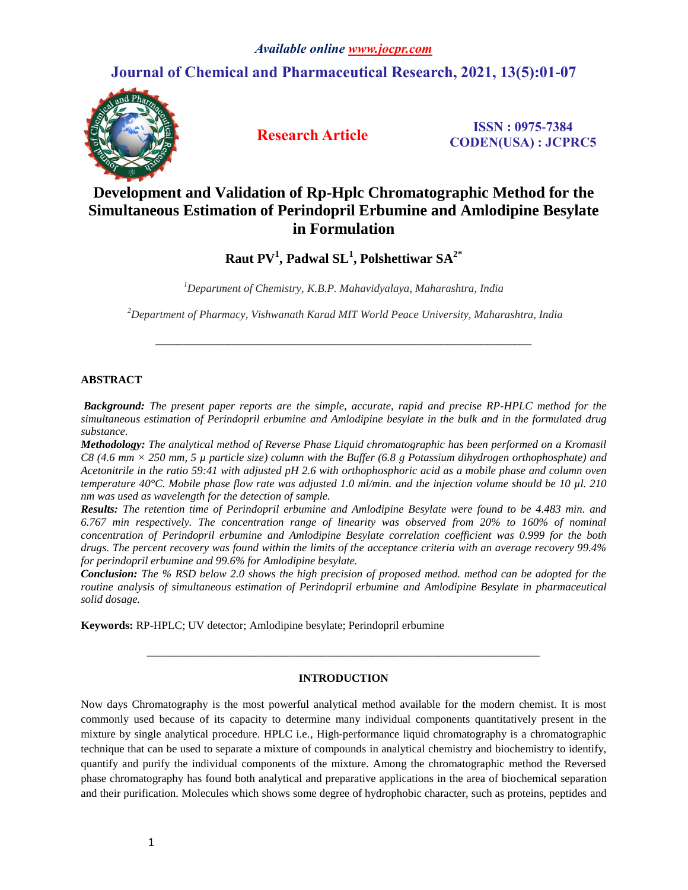# **Journal of Chemical and Pharmaceutical Research, 2021, 13(5):01-07**



**Research Article ISSN : 0975-7384 CODEN(USA) : JCPRC5**

# **Development and Validation of Rp-Hplc Chromatographic Method for the Simultaneous Estimation of Perindopril Erbumine and Amlodipine Besylate in Formulation**

**Raut PV<sup>1</sup> , Padwal SL<sup>1</sup> , Polshettiwar SA2\***

*<sup>1</sup>Department of Chemistry, K.B.P. Mahavidyalaya, Maharashtra, India*

*<sup>2</sup>Department of Pharmacy, Vishwanath Karad MIT World Peace University, Maharashtra, India*

*\_\_\_\_\_\_\_\_\_\_\_\_\_\_\_\_\_\_\_\_\_\_\_\_\_\_\_\_\_\_\_\_\_\_\_\_\_\_\_\_\_\_\_\_\_\_\_\_\_\_\_\_\_\_\_\_\_\_\_\_\_\_\_\_\_\_\_*

# **ABSTRACT**

*Background: The present paper reports are the simple, accurate, rapid and precise RP-HPLC method for the simultaneous estimation of Perindopril erbumine and Amlodipine besylate in the bulk and in the formulated drug substance.* 

*Methodology: The analytical method of Reverse Phase Liquid chromatographic has been performed on a Kromasil C8 (4.6 mm × 250 mm, 5 µ particle size) column with the Buffer (6.8 g Potassium dihydrogen orthophosphate) and Acetonitrile in the ratio 59:41 with adjusted pH 2.6 with orthophosphoric acid as a mobile phase and column oven temperature 40°C. Mobile phase flow rate was adjusted 1.0 ml/min. and the injection volume should be 10 µl. 210 nm was used as wavelength for the detection of sample.* 

*Results: The retention time of Perindopril erbumine and Amlodipine Besylate were found to be 4.483 min. and 6.767 min respectively. The concentration range of linearity was observed from 20% to 160% of nominal concentration of Perindopril erbumine and Amlodipine Besylate correlation coefficient was 0.999 for the both drugs. The percent recovery was found within the limits of the acceptance criteria with an average recovery 99.4% for perindopril erbumine and 99.6% for Amlodipine besylate.*

*Conclusion: The % RSD below 2.0 shows the high precision of proposed method. method can be adopted for the routine analysis of simultaneous estimation of Perindopril erbumine and Amlodipine Besylate in pharmaceutical solid dosage.*

**Keywords:** RP-HPLC; UV detector; Amlodipine besylate; Perindopril erbumine

# **INTRODUCTION**

*\_\_\_\_\_\_\_\_\_\_\_\_\_\_\_\_\_\_\_\_\_\_\_\_\_\_\_\_\_\_\_\_\_\_\_\_\_\_\_\_\_\_\_\_\_\_\_\_\_\_\_\_\_\_\_\_\_\_\_\_\_\_\_\_\_\_\_\_\_\_*

Now days Chromatography is the most powerful analytical method available for the modern chemist. It is most commonly used because of its capacity to determine many individual components quantitatively present in the mixture by single analytical procedure. HPLC i.e., High-performance liquid chromatography is a chromatographic technique that can be used to separate a mixture of compounds in analytical chemistry and biochemistry to identify, quantify and purify the individual components of the mixture. Among the chromatographic method the Reversed phase chromatography has found both analytical and preparative applications in the area of biochemical separation and their purification. Molecules which shows some degree of hydrophobic character, such as proteins, peptides and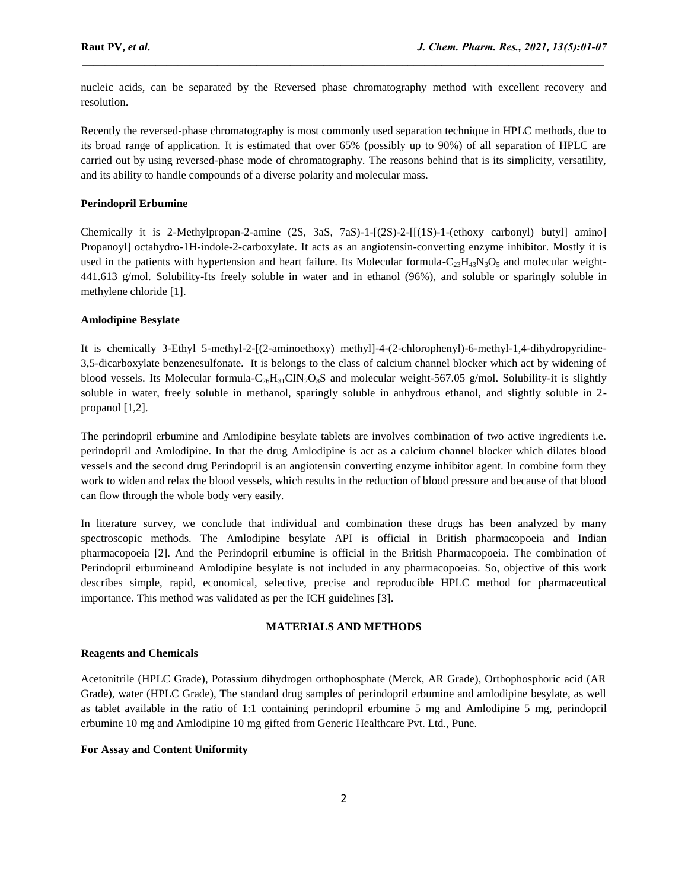nucleic acids, can be separated by the Reversed phase chromatography method with excellent recovery and resolution.

 $\mathcal{L}_\mathcal{L} = \mathcal{L}_\mathcal{L}$ 

Recently the reversed-phase chromatography is most commonly used separation technique in HPLC methods, due to its broad range of application. It is estimated that over 65% (possibly up to 90%) of all separation of HPLC are carried out by using reversed-phase mode of chromatography. The reasons behind that is its simplicity, versatility, and its ability to handle compounds of a diverse polarity and molecular mass.

# **Perindopril Erbumine**

Chemically it is 2-Methylpropan-2-amine (2S, 3aS, 7aS)-1-[(2S)-2-[[(1S)-1-(ethoxy carbonyl) butyl] amino] Propanoyl] octahydro-1H-indole-2-carboxylate. It acts as an angiotensin-converting enzyme inhibitor. Mostly it is used in the patients with hypertension and heart failure. Its Molecular formula-C<sub>23</sub>H<sub>43</sub>N<sub>3</sub>O<sub>5</sub> and molecular weight-441.613 g/mol. Solubility-Its freely soluble in water and in ethanol (96%), and soluble or sparingly soluble in methylene chloride [1].

### **Amlodipine Besylate**

It is chemically 3-Ethyl 5-methyl-2-[(2-aminoethoxy) methyl]-4-(2-chlorophenyl)-6-methyl-1,4-dihydropyridine-3,5-dicarboxylate benzenesulfonate. It is belongs to the class of calcium channel blocker which act by widening of blood vessels. Its Molecular formula-C<sub>26</sub>H<sub>31</sub>CIN<sub>2</sub>O<sub>8</sub>S and molecular weight-567.05 g/mol. Solubility-it is slightly soluble in water, freely soluble in methanol, sparingly soluble in anhydrous ethanol, and slightly soluble in 2 propanol [1,2].

The perindopril erbumine and Amlodipine besylate tablets are involves combination of two active ingredients i.e. perindopril and Amlodipine. In that the drug Amlodipine is act as a calcium channel blocker which dilates blood vessels and the second drug Perindopril is an angiotensin converting enzyme inhibitor agent. In combine form they work to widen and relax the blood vessels, which results in the reduction of blood pressure and because of that blood can flow through the whole body very easily.

In literature survey, we conclude that individual and combination these drugs has been analyzed by many spectroscopic methods. The Amlodipine besylate API is official in British pharmacopoeia and Indian pharmacopoeia [2]. And the Perindopril erbumine is official in the British Pharmacopoeia. The combination of Perindopril erbumineand Amlodipine besylate is not included in any pharmacopoeias. So, objective of this work describes simple, rapid, economical, selective, precise and reproducible HPLC method for pharmaceutical importance. This method was validated as per the ICH guidelines [3].

### **MATERIALS AND METHODS**

### **Reagents and Chemicals**

Acetonitrile (HPLC Grade), Potassium dihydrogen orthophosphate (Merck, AR Grade), Orthophosphoric acid (AR Grade), water (HPLC Grade), The standard drug samples of perindopril erbumine and amlodipine besylate, as well as tablet available in the ratio of 1:1 containing perindopril erbumine 5 mg and Amlodipine 5 mg, perindopril erbumine 10 mg and Amlodipine 10 mg gifted from Generic Healthcare Pvt. Ltd., Pune.

### **For Assay and Content Uniformity**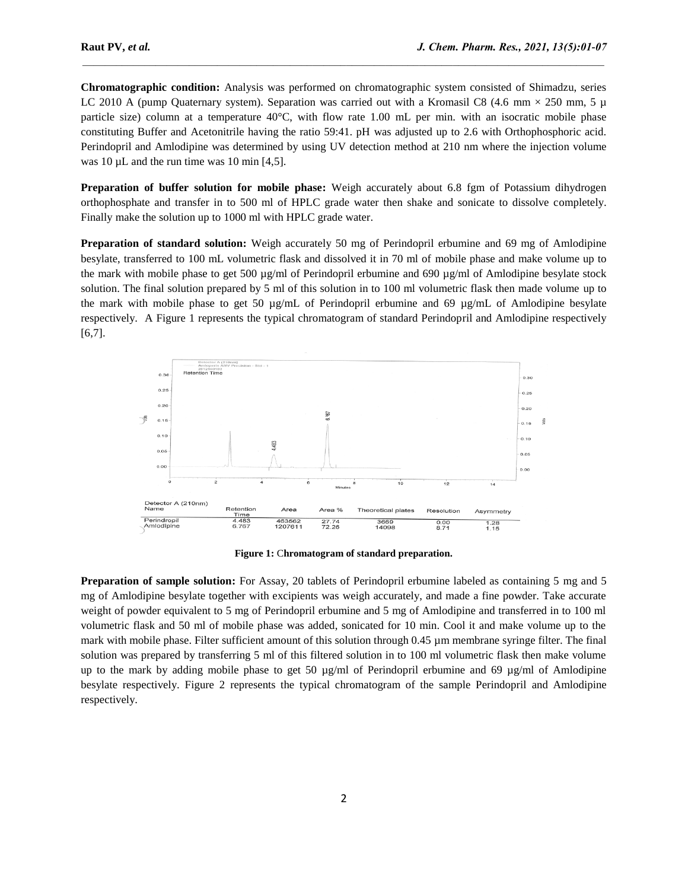**Chromatographic condition:** Analysis was performed on chromatographic system consisted of Shimadzu, series LC 2010 A (pump Quaternary system). Separation was carried out with a Kromasil C8 (4.6 mm  $\times$  250 mm, 5  $\mu$ ) particle size) column at a temperature 40°C, with flow rate 1.00 mL per min. with an isocratic mobile phase constituting Buffer and Acetonitrile having the ratio 59:41. pH was adjusted up to 2.6 with Orthophosphoric acid. Perindopril and Amlodipine was determined by using UV detection method at 210 nm where the injection volume was 10  $\mu$ L and the run time was 10 min [4,5].

 $\mathcal{L}_\mathcal{L} = \mathcal{L}_\mathcal{L}$ 

**Preparation of buffer solution for mobile phase:** Weigh accurately about 6.8 fgm of Potassium dihydrogen orthophosphate and transfer in to 500 ml of HPLC grade water then shake and sonicate to dissolve completely. Finally make the solution up to 1000 ml with HPLC grade water.

**Preparation of standard solution:** Weigh accurately 50 mg of Perindopril erbumine and 69 mg of Amlodipine besylate, transferred to 100 mL volumetric flask and dissolved it in 70 ml of mobile phase and make volume up to the mark with mobile phase to get 500 µg/ml of Perindopril erbumine and 690 µg/ml of Amlodipine besylate stock solution. The final solution prepared by 5 ml of this solution in to 100 ml volumetric flask then made volume up to the mark with mobile phase to get 50 µg/mL of Perindopril erbumine and 69 µg/mL of Amlodipine besylate respectively. A Figure 1 represents the typical chromatogram of standard Perindopril and Amlodipine respectively [6,7].



**Figure 1:** C**hromatogram of standard preparation.**

**Preparation of sample solution:** For Assay, 20 tablets of Perindopril erbumine labeled as containing 5 mg and 5 mg of Amlodipine besylate together with excipients was weigh accurately, and made a fine powder. Take accurate weight of powder equivalent to 5 mg of Perindopril erbumine and 5 mg of Amlodipine and transferred in to 100 ml volumetric flask and 50 ml of mobile phase was added, sonicated for 10 min. Cool it and make volume up to the mark with mobile phase. Filter sufficient amount of this solution through 0.45 µm membrane syringe filter. The final solution was prepared by transferring 5 ml of this filtered solution in to 100 ml volumetric flask then make volume up to the mark by adding mobile phase to get 50  $\mu$ g/ml of Perindopril erbumine and 69  $\mu$ g/ml of Amlodipine besylate respectively. Figure 2 represents the typical chromatogram of the sample Perindopril and Amlodipine respectively.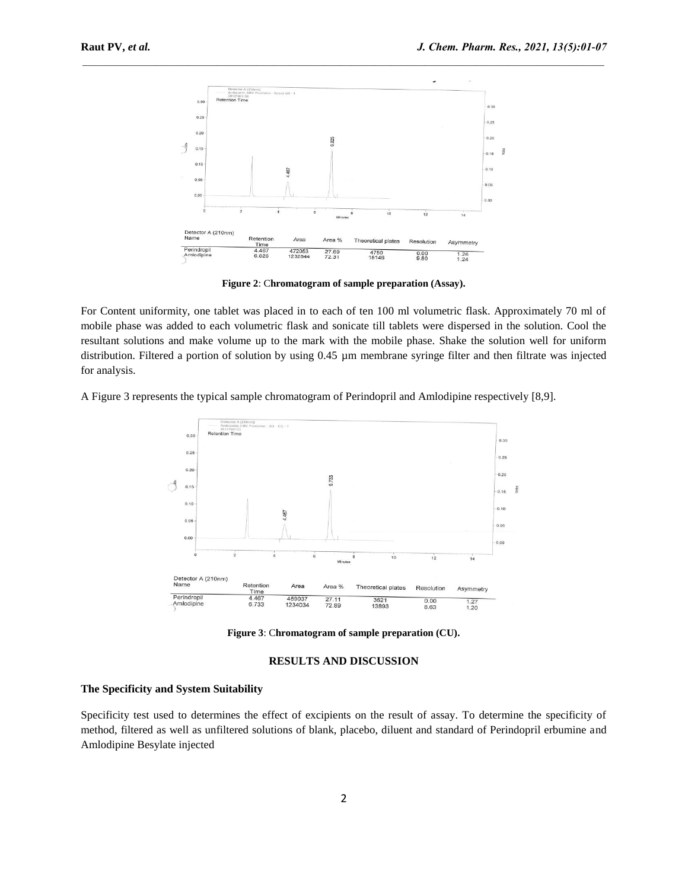

 $\mathcal{L}_\mathcal{L} = \mathcal{L}_\mathcal{L}$ 

**Figure 2**: C**hromatogram of sample preparation (Assay).**

For Content uniformity, one tablet was placed in to each of ten 100 ml volumetric flask. Approximately 70 ml of mobile phase was added to each volumetric flask and sonicate till tablets were dispersed in the solution. Cool the resultant solutions and make volume up to the mark with the mobile phase. Shake the solution well for uniform distribution. Filtered a portion of solution by using 0.45 µm membrane syringe filter and then filtrate was injected for analysis.

A Figure 3 represents the typical sample chromatogram of Perindopril and Amlodipine respectively [8,9].



**Figure 3**: C**hromatogram of sample preparation (CU).**

### **RESULTS AND DISCUSSION**

## **The Specificity and System Suitability**

Specificity test used to determines the effect of excipients on the result of assay. To determine the specificity of method, filtered as well as unfiltered solutions of blank, placebo, diluent and standard of Perindopril erbumine and Amlodipine Besylate injected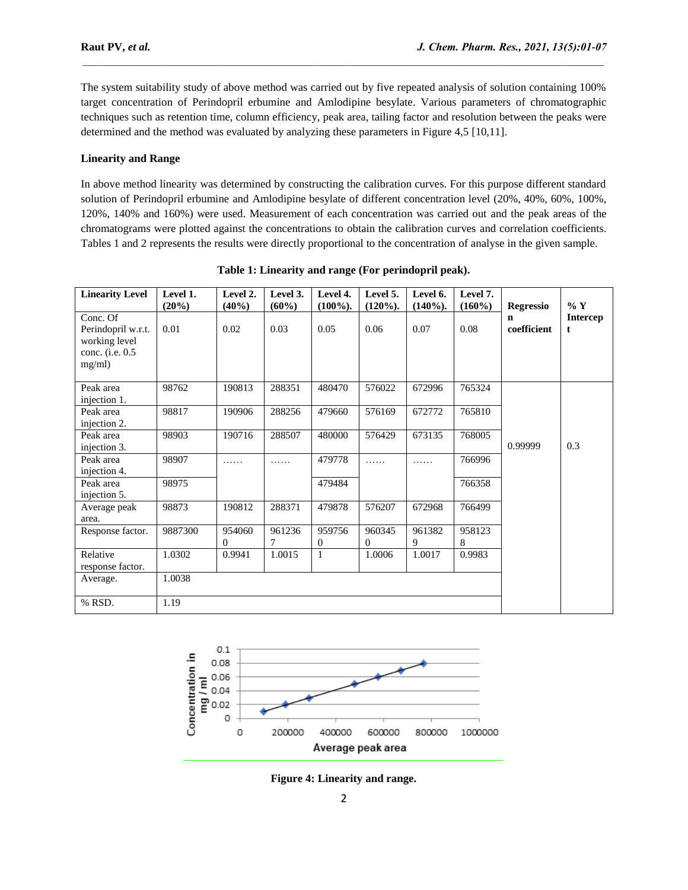The system suitability study of above method was carried out by five repeated analysis of solution containing 100% target concentration of Perindopril erbumine and Amlodipine besylate. Various parameters of chromatographic techniques such as retention time, column efficiency, peak area, tailing factor and resolution between the peaks were determined and the method was evaluated by analyzing these parameters in Figure 4,5 [10,11].

 $\mathcal{L}_\mathcal{L} = \mathcal{L}_\mathcal{L}$ 

# **Linearity and Range**

In above method linearity was determined by constructing the calibration curves. For this purpose different standard solution of Perindopril erbumine and Amlodipine besylate of different concentration level (20%, 40%, 60%, 100%, 120%, 140% and 160%) were used. Measurement of each concentration was carried out and the peak areas of the chromatograms were plotted against the concentrations to obtain the calibration curves and correlation coefficients. Tables 1 and 2 represents the results were directly proportional to the concentration of analyse in the given sample.

| <b>Linearity Level</b>                                                       | Level 1.<br>(20%) | Level 2.<br>(40%)      | Level 3.<br>(60%) | Level 4.<br>$(100\%).$ | Level 5.<br>$(120\%).$ | Level 6.<br>$(140\%).$ | Level 7.<br>$(160\%)$ | <b>Regressio</b> | $\%$ Y               |
|------------------------------------------------------------------------------|-------------------|------------------------|-------------------|------------------------|------------------------|------------------------|-----------------------|------------------|----------------------|
| Conc. Of<br>Perindopril w.r.t.<br>working level<br>conc. (i.e. 0.5<br>mg/ml) | 0.01              | 0.02                   | 0.03              | 0.05                   | 0.06                   | 0.07                   | 0.08                  | n<br>coefficient | <b>Intercep</b><br>t |
| Peak area<br>injection 1.                                                    | 98762             | 190813                 | 288351            | 480470                 | 576022                 | 672996                 | 765324                |                  |                      |
| Peak area<br>injection 2.                                                    | 98817             | 190906                 | 288256            | 479660                 | 576169                 | 672772                 | 765810                |                  |                      |
| Peak area<br>injection 3.                                                    | 98903             | 190716                 | 288507            | 480000                 | 576429                 | 673135                 | 768005                | 0.99999          | 0.3                  |
| Peak area<br>injection 4.                                                    | 98907             | .                      | .                 | 479778                 | .                      | .                      | 766996                |                  |                      |
| Peak area<br>injection 5.                                                    | 98975             |                        |                   | 479484                 |                        |                        | 766358                |                  |                      |
| Average peak<br>area.                                                        | 98873             | 190812                 | 288371            | 479878                 | 576207                 | 672968                 | 766499                |                  |                      |
| Response factor.                                                             | 9887300           | 954060<br>$\mathbf{0}$ | 961236<br>7       | 959756<br>0            | 960345<br>$\Omega$     | 961382<br>9            | 958123<br>8           |                  |                      |
| Relative<br>response factor.                                                 | 1.0302            | 0.9941                 | 1.0015            | $\mathbf{1}$           | 1.0006                 | 1.0017                 | 0.9983                |                  |                      |
| Average.                                                                     | 1.0038            |                        |                   |                        |                        |                        |                       |                  |                      |
| % RSD.                                                                       | 1.19              |                        |                   |                        |                        |                        |                       |                  |                      |

**Table 1: Linearity and range (For perindopril peak).**



**Figure 4: Linearity and range.**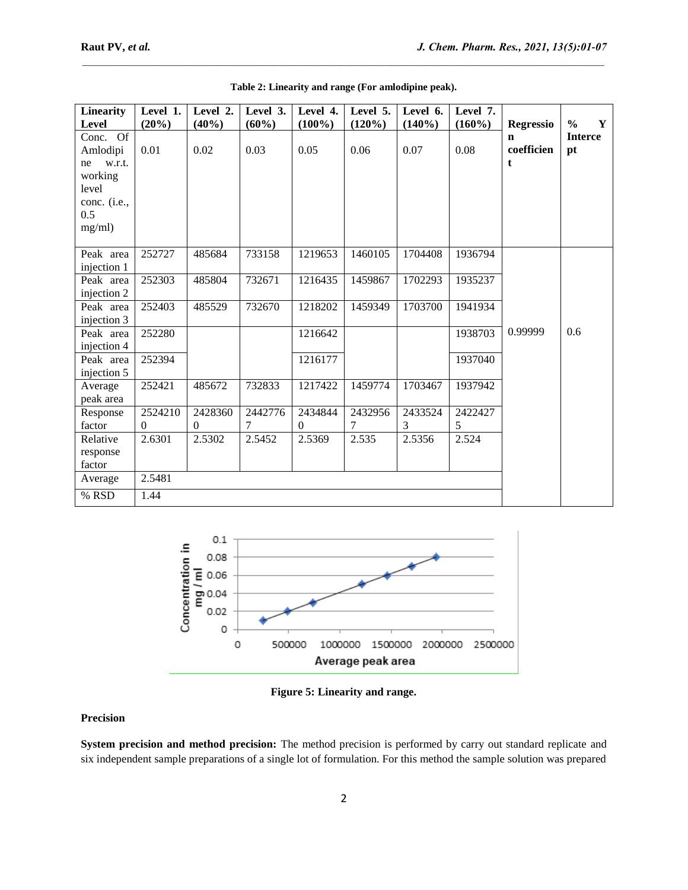| <b>Linearity</b>                                                            | Level 1.            | Level 2.                | Level 3.     | Level 4.            | Level 5.     | Level 6.     | Level 7.     |                      |                      |
|-----------------------------------------------------------------------------|---------------------|-------------------------|--------------|---------------------|--------------|--------------|--------------|----------------------|----------------------|
| Level                                                                       | (20%)               | (40%)                   | (60%)        | $(100\%)$           | $(120\%)$    | (140%)       | $(160\%)$    | <b>Regressio</b>     | $\frac{0}{0}$<br>Y   |
| Of<br>Conc.<br>Amlodipi<br>w.r.t.<br>ne<br>working<br>level<br>conc. (i.e., | 0.01                | 0.02                    | 0.03         | 0.05                | 0.06         | 0.07         | 0.08         | n<br>coefficien<br>t | <b>Interce</b><br>pt |
| 0.5<br>mg/ml)                                                               |                     |                         |              |                     |              |              |              |                      |                      |
| Peak area<br>injection 1                                                    | 252727              | 485684                  | 733158       | 1219653             | 1460105      | 1704408      | 1936794      |                      |                      |
| Peak area<br>injection 2                                                    | 252303              | 485804                  | 732671       | 1216435             | 1459867      | 1702293      | 1935237      |                      |                      |
| Peak area<br>injection 3                                                    | 252403              | 485529                  | 732670       | 1218202             | 1459349      | 1703700      | 1941934      |                      |                      |
| Peak area<br>injection 4                                                    | 252280              |                         |              | 1216642             |              |              | 1938703      | 0.99999              | 0.6                  |
| Peak area<br>injection 5                                                    | 252394              |                         |              | 1216177             |              |              | 1937040      |                      |                      |
| Average<br>peak area                                                        | 252421              | 485672                  | 732833       | 1217422             | 1459774      | 1703467      | 1937942      |                      |                      |
| Response<br>factor                                                          | 2524210<br>$\Omega$ | 2428360<br>$\mathbf{0}$ | 2442776<br>7 | 2434844<br>$\Omega$ | 2432956<br>7 | 2433524<br>3 | 2422427<br>5 |                      |                      |
| Relative<br>response<br>factor                                              | 2.6301              | 2.5302                  | 2.5452       | 2.5369              | 2.535        | 2.5356       | 2.524        |                      |                      |
| Average                                                                     | 2.5481              |                         |              |                     |              |              |              |                      |                      |
| % RSD                                                                       | 1.44                |                         |              |                     |              |              |              |                      |                      |

**Table 2: Linearity and range (For amlodipine peak).**

 $\mathcal{L}_\mathcal{L} = \mathcal{L}_\mathcal{L}$ 



**Figure 5: Linearity and range.**

# **Precision**

**System precision and method precision:** The method precision is performed by carry out standard replicate and six independent sample preparations of a single lot of formulation. For this method the sample solution was prepared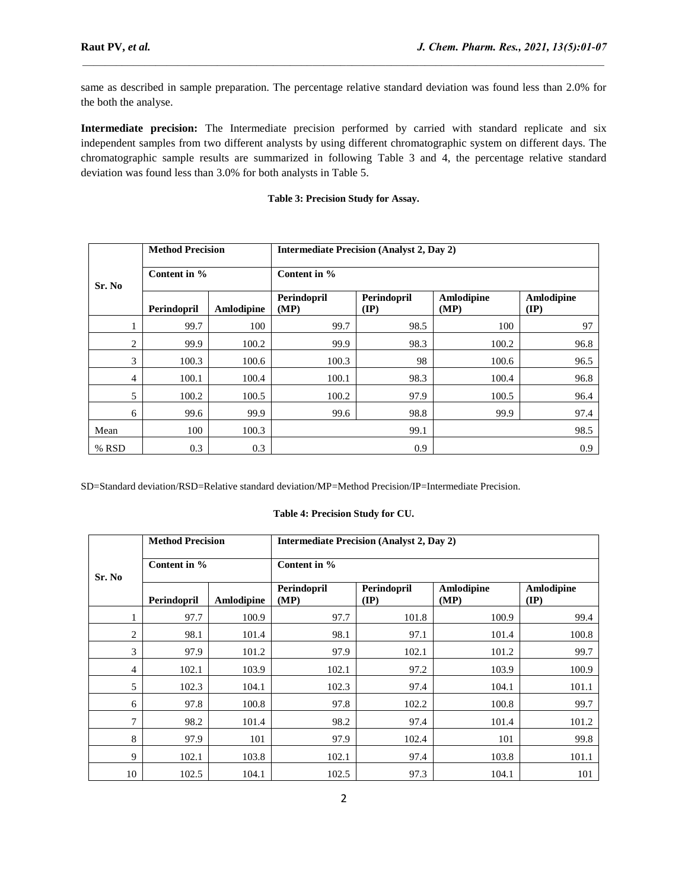same as described in sample preparation. The percentage relative standard deviation was found less than 2.0% for the both the analyse.

 $\mathcal{L}_\mathcal{L} = \mathcal{L}_\mathcal{L}$ 

**Intermediate precision:** The Intermediate precision performed by carried with standard replicate and six independent samples from two different analysts by using different chromatographic system on different days. The chromatographic sample results are summarized in following Table 3 and 4, the percentage relative standard deviation was found less than 3.0% for both analysts in Table 5.

# **Table 3: Precision Study for Assay.**

|          | <b>Method Precision</b> |            | <b>Intermediate Precision (Analyst 2, Day 2)</b> |                                |                    |                               |  |  |  |
|----------|-------------------------|------------|--------------------------------------------------|--------------------------------|--------------------|-------------------------------|--|--|--|
| Sr. No   | Content in %            |            | Content in %                                     |                                |                    |                               |  |  |  |
|          | Perindopril             | Amlodipine | Perindopril<br>(MP)                              | Perindopril<br>$(\mathbf{IP})$ | Amlodipine<br>(MP) | Amlodipine<br>$(\mathbf{IP})$ |  |  |  |
| $\bf{1}$ | 99.7                    | 100        | 99.7                                             | 98.5                           | 100                | 97                            |  |  |  |
| 2        | 99.9                    | 100.2      | 99.9                                             | 98.3                           | 100.2              | 96.8                          |  |  |  |
| 3        | 100.3                   | 100.6      | 100.3                                            | 98                             | 100.6              | 96.5                          |  |  |  |
| 4        | 100.1                   | 100.4      | 100.1                                            | 98.3                           | 100.4              | 96.8                          |  |  |  |
| 5        | 100.2                   | 100.5      | 100.2                                            | 97.9                           | 100.5              | 96.4                          |  |  |  |
| 6        | 99.6                    | 99.9       | 99.6                                             | 98.8                           | 99.9               | 97.4                          |  |  |  |
| Mean     | 100                     | 100.3      |                                                  | 99.1                           |                    | 98.5                          |  |  |  |
| % RSD    | 0.3                     | 0.3        |                                                  | 0.9                            |                    | 0.9                           |  |  |  |

SD=Standard deviation/RSD=Relative standard deviation/MP=Method Precision/IP=Intermediate Precision.

## **Table 4: Precision Study for CU.**

|                | <b>Method Precision</b> |            | <b>Intermediate Precision (Analyst 2, Day 2)</b> |                     |                    |                           |  |  |  |
|----------------|-------------------------|------------|--------------------------------------------------|---------------------|--------------------|---------------------------|--|--|--|
| Sr. No         | Content in %            |            | Content in %                                     |                     |                    |                           |  |  |  |
|                | Perindopril             | Amlodipine | Perindopril<br>(MP)                              | Perindopril<br>(IP) | Amlodipine<br>(MP) | Amlodipine<br><b>(IP)</b> |  |  |  |
| 1              | 97.7                    | 100.9      | 97.7                                             | 101.8               | 100.9              | 99.4                      |  |  |  |
| 2              | 98.1                    | 101.4      | 98.1                                             | 97.1                | 101.4              | 100.8                     |  |  |  |
| 3              | 97.9                    | 101.2      | 97.9                                             | 102.1               | 101.2              | 99.7                      |  |  |  |
| $\overline{4}$ | 102.1                   | 103.9      | 102.1                                            | 97.2                | 103.9              | 100.9                     |  |  |  |
| 5              | 102.3                   | 104.1      | 102.3                                            | 97.4                | 104.1              | 101.1                     |  |  |  |
| 6              | 97.8                    | 100.8      | 97.8                                             | 102.2               | 100.8              | 99.7                      |  |  |  |
| 7              | 98.2                    | 101.4      | 98.2                                             | 97.4                | 101.4              | 101.2                     |  |  |  |
| 8              | 97.9                    | 101        | 97.9                                             | 102.4               | 101                | 99.8                      |  |  |  |
| 9              | 102.1                   | 103.8      | 102.1                                            | 97.4                | 103.8              | 101.1                     |  |  |  |
| 10             | 102.5                   | 104.1      | 102.5                                            | 97.3                | 104.1              | 101                       |  |  |  |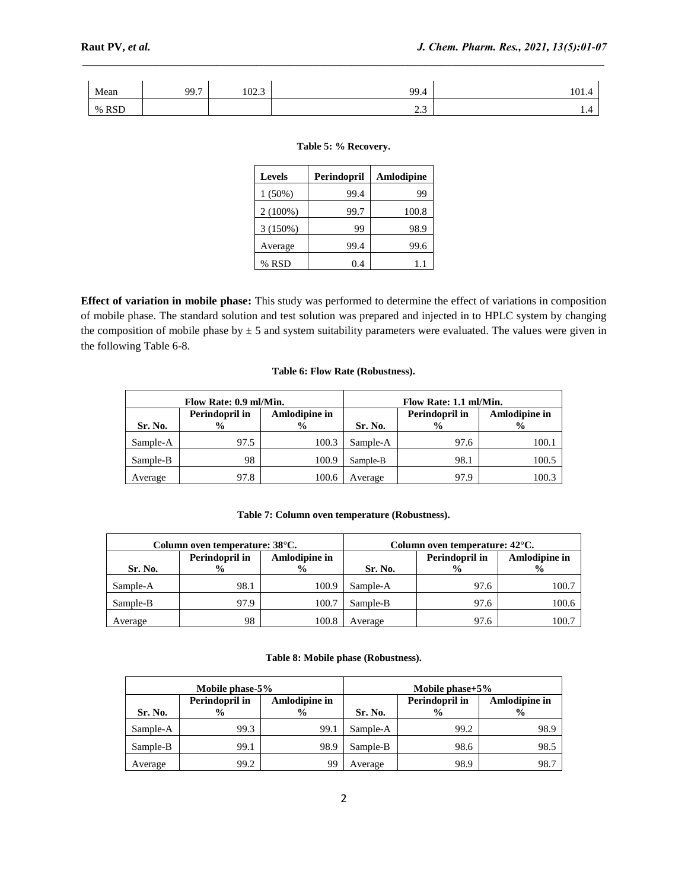| Mean  | 007<br>,,,, | 102.3 | 99.4                   | $\overline{0}$<br>101.4 |
|-------|-------------|-------|------------------------|-------------------------|
| % RSD |             |       | $\sim$ $\sim$<br>ر . ب | 1.T                     |

 $\mathcal{L}_\mathcal{L} = \mathcal{L}_\mathcal{L}$ 

### **Table 5: % Recovery.**

| <b>Levels</b> | Perindopril | Amlodipine |
|---------------|-------------|------------|
| $1(50\%)$     | 99.4        | 99         |
| $2(100\%)$    | 99.7        | 100.8      |
| 3(150%)       | 99          | 98.9       |
| Average       | 99.4        | 99.6       |
| % RSD         | 0.4         | IJ         |

**Effect of variation in mobile phase:** This study was performed to determine the effect of variations in composition of mobile phase. The standard solution and test solution was prepared and injected in to HPLC system by changing the composition of mobile phase by  $\pm$  5 and system suitability parameters were evaluated. The values were given in the following Table 6-8.

# **Table 6: Flow Rate (Robustness).**

|          | Flow Rate: 0.9 ml/Min.          |                                | Flow Rate: 1.1 ml/Min. |                                 |                                |  |
|----------|---------------------------------|--------------------------------|------------------------|---------------------------------|--------------------------------|--|
| Sr. No.  | Perindopril in<br>$\frac{6}{9}$ | Amlodipine in<br>$\frac{0}{0}$ | Sr. No.                | Perindopril in<br>$\frac{0}{0}$ | Amlodipine in<br>$\frac{0}{0}$ |  |
| Sample-A | 97.5                            | 100.3                          | Sample-A               | 97.6                            | 100.                           |  |
| Sample-B | 98                              | 100.9                          | Sample-B               | 98.1                            | 100.5                          |  |
| Average  | 97.8                            | 100.6                          | Average                | 97.9                            | 100.3                          |  |

### **Table 7: Column oven temperature (Robustness).**

|          | Column oven temperature: 38°C.  |                                | Column oven temperature: 42 <sup>o</sup> C. |                                 |                                |  |
|----------|---------------------------------|--------------------------------|---------------------------------------------|---------------------------------|--------------------------------|--|
| Sr. No.  | Perindopril in<br>$\frac{6}{9}$ | Amlodipine in<br>$\frac{0}{0}$ | Sr. No.                                     | Perindopril in<br>$\frac{0}{0}$ | Amlodipine in<br>$\frac{6}{9}$ |  |
| Sample-A | 98.1                            | 100.9                          | Sample-A                                    | 97.6                            | 100.7                          |  |
| Sample-B | 97.9                            | 100.7                          | Sample-B                                    | 97.6                            | 100.6                          |  |
| Average  | 98                              | 100.8                          | Average                                     | 97.6                            | 100.7                          |  |

### **Table 8: Mobile phase (Robustness).**

|          | Mobile phase-5%                 |                                | Mobile phase $+5\%$ |                                 |                                |  |
|----------|---------------------------------|--------------------------------|---------------------|---------------------------------|--------------------------------|--|
| Sr. No.  | Perindopril in<br>$\frac{6}{9}$ | Amlodipine in<br>$\frac{6}{9}$ | Sr. No.             | Perindopril in<br>$\frac{6}{9}$ | Amlodipine in<br>$\frac{6}{9}$ |  |
| Sample-A | 99.3                            | 99.1                           | Sample-A            | 99.2                            | 98.9                           |  |
| Sample-B | 99.1                            | 98.9                           | Sample-B            | 98.6                            | 98.5                           |  |
| Average  | 99.2                            | 99                             | Average             | 98.9                            | 98.7                           |  |